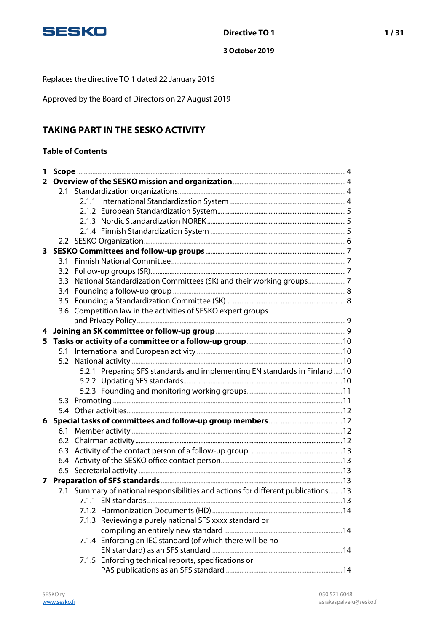

Replaces the directive TO 1 dated 22 January 2016

Approved by the Board of Directors on 27 August 2019

# **TAKING PART IN THE SESKO ACTIVITY**

## **Table of Contents**

| 1            |     |                                                                                    |  |
|--------------|-----|------------------------------------------------------------------------------------|--|
| $\mathbf{2}$ |     |                                                                                    |  |
|              |     |                                                                                    |  |
|              |     |                                                                                    |  |
|              |     |                                                                                    |  |
|              |     |                                                                                    |  |
|              |     |                                                                                    |  |
|              |     |                                                                                    |  |
|              |     |                                                                                    |  |
|              | 3.1 |                                                                                    |  |
|              | 3.2 |                                                                                    |  |
|              | 3.3 |                                                                                    |  |
|              |     |                                                                                    |  |
|              |     |                                                                                    |  |
|              |     | 3.6 Competition law in the activities of SESKO expert groups                       |  |
|              |     |                                                                                    |  |
| 4            |     |                                                                                    |  |
| 5            |     |                                                                                    |  |
|              |     |                                                                                    |  |
|              | 5.2 |                                                                                    |  |
|              |     | 5.2.1 Preparing SFS standards and implementing EN standards in Finland10           |  |
|              |     |                                                                                    |  |
|              |     |                                                                                    |  |
|              |     |                                                                                    |  |
|              | 5.4 |                                                                                    |  |
|              |     |                                                                                    |  |
|              |     |                                                                                    |  |
|              |     |                                                                                    |  |
|              | 6.3 |                                                                                    |  |
|              | 6.4 |                                                                                    |  |
|              |     |                                                                                    |  |
| 7            |     |                                                                                    |  |
|              |     | 7.1 Summary of national responsibilities and actions for different publications 13 |  |
|              |     |                                                                                    |  |
|              |     | 7.1.3 Reviewing a purely national SFS xxxx standard or                             |  |
|              |     |                                                                                    |  |
|              |     | 7.1.4 Enforcing an IEC standard (of which there will be no                         |  |
|              |     |                                                                                    |  |
|              |     | 7.1.5 Enforcing technical reports, specifications or                               |  |
|              |     |                                                                                    |  |
|              |     |                                                                                    |  |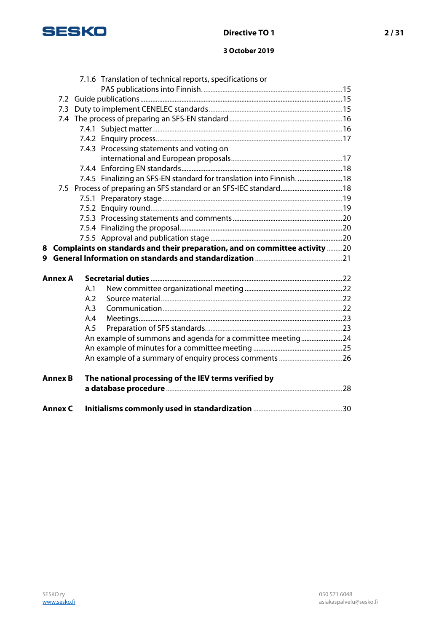

## **Directive TO 1** 2/31

## **3 October 2019**

|                |     | 7.1.6 Translation of technical reports, specifications or                     |  |
|----------------|-----|-------------------------------------------------------------------------------|--|
|                |     |                                                                               |  |
|                |     |                                                                               |  |
|                |     |                                                                               |  |
|                |     |                                                                               |  |
|                |     |                                                                               |  |
|                |     |                                                                               |  |
|                |     | 7.4.3 Processing statements and voting on                                     |  |
|                |     |                                                                               |  |
|                |     |                                                                               |  |
|                |     | 7.4.5 Finalizing an SFS-EN standard for translation into Finnish.  18         |  |
|                |     |                                                                               |  |
|                |     |                                                                               |  |
|                |     |                                                                               |  |
|                |     |                                                                               |  |
|                |     |                                                                               |  |
|                |     |                                                                               |  |
|                |     |                                                                               |  |
|                |     | 8 Complaints on standards and their preparation, and on committee activity 20 |  |
|                |     |                                                                               |  |
| <b>Annex A</b> |     |                                                                               |  |
|                | A.1 |                                                                               |  |
|                | A.2 |                                                                               |  |
|                | A.3 |                                                                               |  |
|                | A.4 |                                                                               |  |
|                | A.5 |                                                                               |  |
|                |     |                                                                               |  |
|                |     | An example of summons and agenda for a committee meeting24                    |  |
|                |     |                                                                               |  |
| <b>Annex B</b> |     | The national processing of the IEV terms verified by                          |  |
|                |     |                                                                               |  |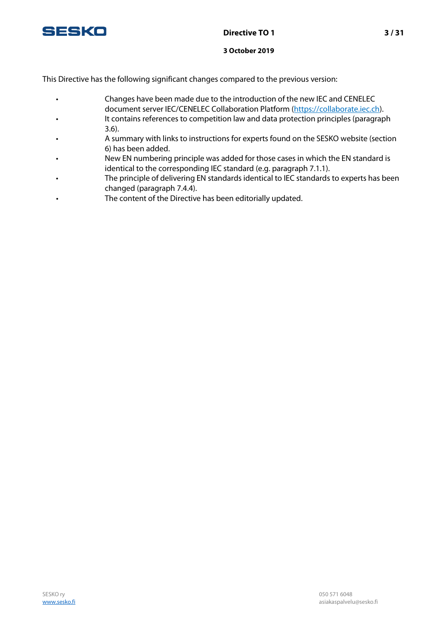

This Directive has the following significant changes compared to the previous version:

- Changes have been made due to the introduction of the new IEC and CENELEC document server IEC/CENELEC Collaboration Platform [\(https://collaborate.iec.ch\)](https://collaborate.iec.ch/).
- It contains references to competition law and data protection principles (paragraph 3.6).
- A summary with links to instructions for experts found on the SESKO website (section 6) has been added.
- New EN numbering principle was added for those cases in which the EN standard is identical to the corresponding IEC standard (e.g. paragraph 7.1.1).
- The principle of delivering EN standards identical to IEC standards to experts has been changed (paragraph 7.4.4).
- The content of the Directive has been editorially updated.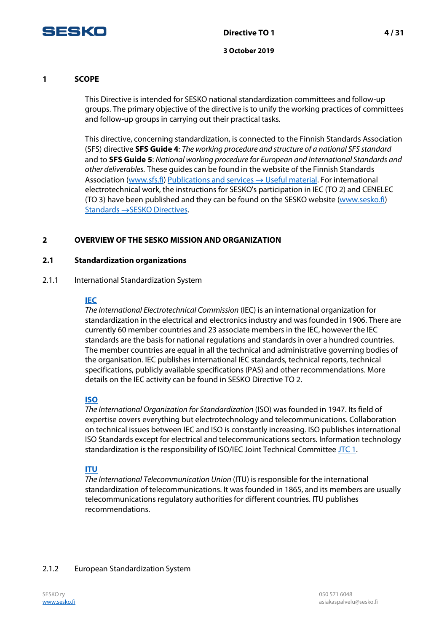

## **1 SCOPE**

This Directive is intended for SESKO national standardization committees and follow-up groups. The primary objective of the directive is to unify the working practices of committees and follow-up groups in carrying out their practical tasks.

This directive, concerning standardization, is connected to the Finnish Standards Association (SFS) directive **SFS Guide 4**: The working procedure and structure of a national SFS standard and to **SFS Guide 5**: National working procedure for European and International Standards and other deliverables. These guides can be found in the website of the Finnish Standards Association [\(www.sfs.fi\)](http://www.sfs.fi/) [Publications and services](http://www.sfs.fi/julkaisut_ja_palvelut/hyodyllisia_aineistoja?fid=55)  $\rightarrow$  Useful material. For international electrotechnical work, the instructions for SESKO's participation in IEC (TO 2) and CENELEC (TO 3) have been published and they can be found on the SESKO website [\(www.sesko.fi\)](http://www.sesko.fi/) [Standards](https://www.sesko.fi/en/standards/sesko_directives) →SESKO Directives.

## **2 OVERVIEW OF THE SESKO MISSION AND ORGANIZATION**

#### **2.1 Standardization organizations**

#### 2.1.1 International Standardization System

#### **[IEC](http://www.iec.ch/)**

The International Electrotechnical Commission (IEC) is an international organization for standardization in the electrical and electronics industry and was founded in 1906. There are currently 60 member countries and 23 associate members in the IEC, however the IEC standards are the basis for national regulations and standards in over a hundred countries. The member countries are equal in all the technical and administrative governing bodies of the organisation. IEC publishes international IEC standards, technical reports, technical specifications, publicly available specifications (PAS) and other recommendations. More details on the IEC activity can be found in SESKO Directive TO 2.

## **[ISO](http://www.iso.org/)**

The International Organization for Standardization (ISO) was founded in 1947. Its field of expertise covers everything but electrotechnology and telecommunications. Collaboration on technical issues between IEC and ISO is constantly increasing. ISO publishes international ISO Standards except for electrical and telecommunications sectors. Information technology standardization is the responsibility of ISO/IEC Joint Technical Committee JTC 1.

## **[ITU](http://www.itu.int/)**

The International Telecommunication Union (ITU) is responsible for the international standardization of telecommunications. It was founded in 1865, and its members are usually telecommunications regulatory authorities for different countries. ITU publishes recommendations.

## 2.1.2 European Standardization System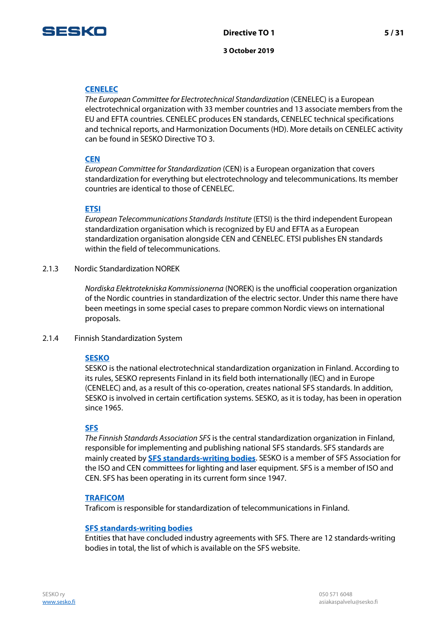

## **[CENELEC](http://www.cenelec.eu/)**

The European Committee for Electrotechnical Standardization (CENELEC) is a European electrotechnical organization with 33 member countries and 13 associate members from the EU and EFTA countries. CENELEC produces EN standards, CENELEC technical specifications and technical reports, and Harmonization Documents (HD). More details on CENELEC activity can be found in SESKO Directive TO 3.

## **[CEN](http://www.cen.eu/)**

European Committee for Standardization (CEN) is a European organization that covers standardization for everything but electrotechnology and telecommunications. Its member countries are identical to those of CENELEC.

#### **[ETSI](http://www.etsi.org/)**

European Telecommunications Standards Institute (ETSI) is the third independent European standardization organisation which is recognized by EU and EFTA as a European standardization organisation alongside CEN and CENELEC. ETSI publishes EN standards within the field of telecommunications.

2.1.3 Nordic Standardization NOREK

Nordiska Elektrotekniska Kommissionerna (NOREK) is the unofficial cooperation organization of the Nordic countries in standardization of the electric sector. Under this name there have been meetings in some special cases to prepare common Nordic views on international proposals.

2.1.4 Finnish Standardization System

#### **[SESKO](http://www.sesko.fi/)**

SESKO is the national electrotechnical standardization organization in Finland. According to its rules, SESKO represents Finland in its field both internationally (IEC) and in Europe (CENELEC) and, as a result of this co-operation, creates national SFS standards. In addition, SESKO is involved in certain certification systems. SESKO, as it is today, has been in operation since 1965.

## **[SFS](http://www.sfs.fi/)**

The Finnish Standards Association SFS is the central standardization organization in Finland, responsible for implementing and publishing national SFS standards. SFS standards are mainly created by **[SFS standards-writing bodies](http://www.sfs.fi/sfs_ry/organisaatio/toimialayhteisot)**. SESKO is a member of SFS Association for the ISO and CEN committees for lighting and laser equipment. SFS is a member of ISO and CEN. SFS has been operating in its current form since 1947.

#### **[TRAFICOM](http://www.traficom.fi/)**

Traficom is responsible for standardization of telecommunications in Finland.

#### **SFS standards-writing bodies**

Entities that have concluded industry agreements with SFS. There are 12 standards-writing bodies in total, the list of which is available on the SFS website.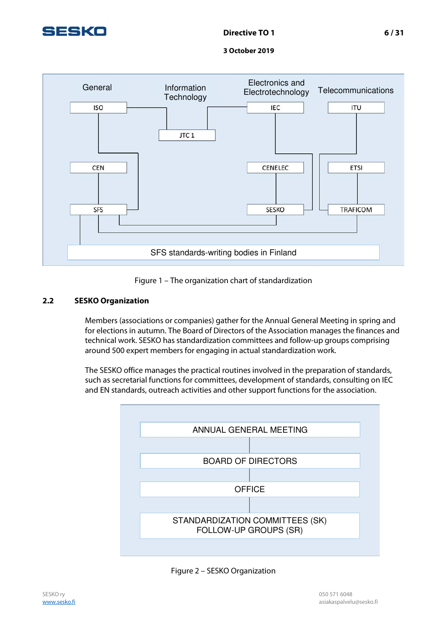





## **2.2 SESKO Organization**

Members (associations or companies) gather for the Annual General Meeting in spring and for elections in autumn. The Board of Directors of the Association manages the finances and technical work. SESKO has standardization committees and follow-up groups comprising around 500 expert members for engaging in actual standardization work.

The SESKO office manages the practical routines involved in the preparation of standards, such as secretarial functions for committees, development of standards, consulting on IEC and EN standards, outreach activities and other support functions for the association.



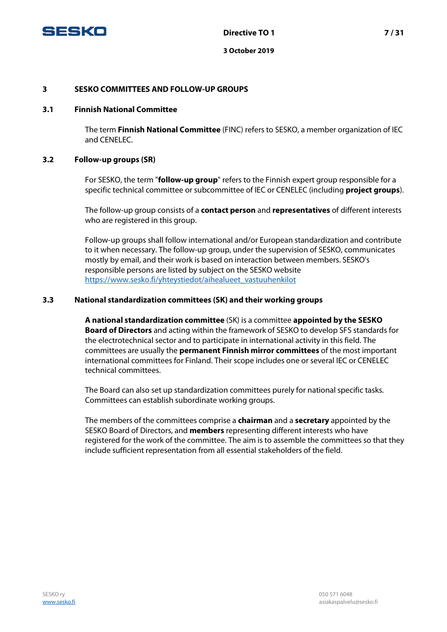

## **3 SESKO COMMITTEES AND FOLLOW-UP GROUPS**

#### **3.1 Finnish National Committee**

The term **Finnish National Committee** (FINC) refers to SESKO, a member organization of IEC and CENELEC.

#### **3.2 Follow-up groups (SR)**

For SESKO, the term "**follow-up group**" refers to the Finnish expert group responsible for a specific technical committee or subcommittee of IEC or CENELEC (including **project groups**).

The follow-up group consists of a **contact person** and **representatives** of different interests who are registered in this group.

Follow-up groups shall follow international and/or European standardization and contribute to it when necessary. The follow-up group, under the supervision of SESKO, communicates mostly by email, and their work is based on interaction between members. SESKO's responsible persons are listed by subject on the SESKO website [https://www.sesko.fi/yhteystiedot/aihealueet\\_vastuuhenkilot](https://www.sesko.fi/yhteystiedot/aihealueet_vastuuhenkilot) 

#### **3.3 National standardization committees (SK) and their working groups**

**A national standardization committee** (SK) is a committee **appointed by the SESKO Board of Directors** and acting within the framework of SESKO to develop SFS standards for the electrotechnical sector and to participate in international activity in this field. The committees are usually the **permanent Finnish mirror committees** of the most important international committees for Finland. Their scope includes one or several IEC or CENELEC technical committees.

The Board can also set up standardization committees purely for national specific tasks. Committees can establish subordinate working groups.

The members of the committees comprise a **chairman** and a **secretary** appointed by the SESKO Board of Directors, and **members** representing different interests who have registered for the work of the committee. The aim is to assemble the committees so that they include sufficient representation from all essential stakeholders of the field.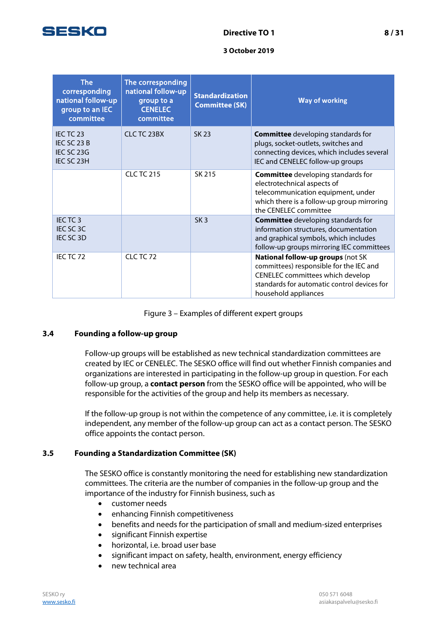

| <b>The</b><br>corresponding<br>national follow-up<br>group to an IEC<br>committee | The corresponding<br>national follow-up<br>group to a<br><b>CENELEC</b><br>committee | <b>Standardization</b><br><b>Committee (SK)</b> | <b>Way of working</b>                                                                                                                                                                   |
|-----------------------------------------------------------------------------------|--------------------------------------------------------------------------------------|-------------------------------------------------|-----------------------------------------------------------------------------------------------------------------------------------------------------------------------------------------|
| IEC TC 23<br>IEC SC 23 B<br>IEC SC 23G<br>IEC SC 23H                              | CLC TC 23BX                                                                          | SK 23                                           | <b>Committee</b> developing standards for<br>plugs, socket-outlets, switches and<br>connecting devices, which includes several<br>IEC and CENELEC follow-up groups                      |
|                                                                                   | <b>CLC TC 215</b>                                                                    | SK 215                                          | <b>Committee</b> developing standards for<br>electrotechnical aspects of<br>telecommunication equipment, under<br>which there is a follow-up group mirroring<br>the CENELEC committee   |
| IECTC <sub>3</sub><br>IEC SC 3C<br>IEC SC 3D                                      |                                                                                      | SK <sub>3</sub>                                 | <b>Committee</b> developing standards for<br>information structures, documentation<br>and graphical symbols, which includes<br>follow-up groups mirroring IEC committees                |
| IECTC72                                                                           | CLC TC 72                                                                            |                                                 | National follow-up groups (not SK<br>committees) responsible for the IEC and<br>CENELEC committees which develop<br>standards for automatic control devices for<br>household appliances |

Figure 3 – Examples of different expert groups

## **3.4 Founding a follow-up group**

Follow-up groups will be established as new technical standardization committees are created by IEC or CENELEC. The SESKO office will find out whether Finnish companies and organizations are interested in participating in the follow-up group in question. For each follow-up group, a **contact person** from the SESKO office will be appointed, who will be responsible for the activities of the group and help its members as necessary.

If the follow-up group is not within the competence of any committee, i.e. it is completely independent, any member of the follow-up group can act as a contact person. The SESKO office appoints the contact person.

## **3.5 Founding a Standardization Committee (SK)**

The SESKO office is constantly monitoring the need for establishing new standardization committees. The criteria are the number of companies in the follow-up group and the importance of the industry for Finnish business, such as

- customer needs
- enhancing Finnish competitiveness
- benefits and needs for the participation of small and medium-sized enterprises
- significant Finnish expertise
- horizontal, i.e. broad user base
- significant impact on safety, health, environment, energy efficiency
- new technical area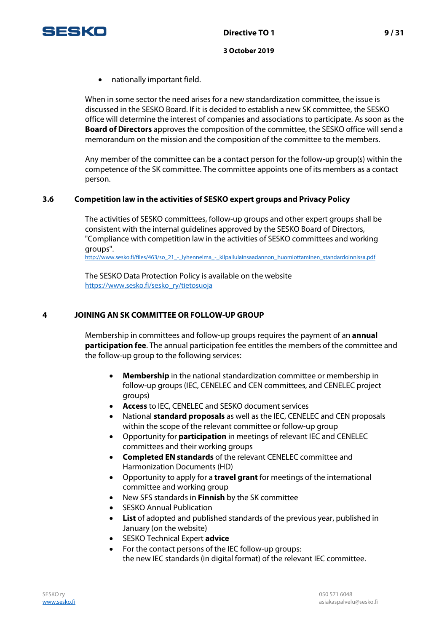



• nationally important field.

When in some sector the need arises for a new standardization committee, the issue is discussed in the SESKO Board. If it is decided to establish a new SK committee, the SESKO office will determine the interest of companies and associations to participate. As soon as the **Board of Directors** approves the composition of the committee, the SESKO office will send a memorandum on the mission and the composition of the committee to the members.

Any member of the committee can be a contact person for the follow-up group(s) within the competence of the SK committee. The committee appoints one of its members as a contact person.

## **3.6 Competition law in the activities of SESKO expert groups and Privacy Policy**

The activities of SESKO committees, follow-up groups and other expert groups shall be consistent with the internal guidelines approved by the SESKO Board of Directors, "Compliance with competition law in the activities of SESKO committees and working groups".

http://www.sesko.fi/files/463/so\_21\_-\_lyhennelma\_-\_kilpailulainsaadannon\_huomiottaminen\_standardoinnissa.pdf

The SESKO Data Protection Policy is available on the website [https://www.sesko.fi/sesko\\_ry/tietosuoja](https://www.sesko.fi/sesko_ry/tietosuoja)

## **4 JOINING AN SK COMMITTEE OR FOLLOW-UP GROUP**

Membership in committees and follow-up groups requires the payment of an **annual participation fee**. The annual participation fee entitles the members of the committee and the follow-up group to the following services:

- **Membership** in the national standardization committee or membership in follow-up groups (IEC, CENELEC and CEN committees, and CENELEC project groups)
- **Access** to IEC, CENELEC and SESKO document services
- National **standard proposals** as well as the IEC, CENELEC and CEN proposals within the scope of the relevant committee or follow-up group
- Opportunity for **participation** in meetings of relevant IEC and CENELEC committees and their working groups
- **Completed EN standards** of the relevant CENELEC committee and Harmonization Documents (HD)
- Opportunity to apply for a **travel grant** for meetings of the international committee and working group
- New SFS standards in **Finnish** by the SK committee
- **SESKO Annual Publication**
- **List** of adopted and published standards of the previous year, published in January (on the website)
- SESKO Technical Expert **advice**
- For the contact persons of the IEC follow-up groups: the new IEC standards (in digital format) of the relevant IEC committee.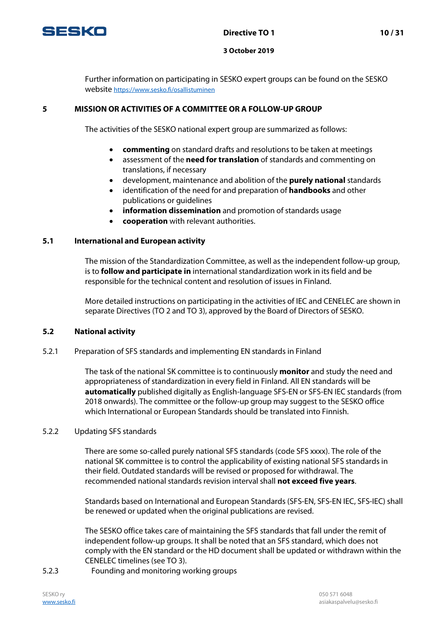

Further information on participating in SESKO expert groups can be found on the SESKO website <https://www.sesko.fi/osallistuminen>

## **5 MISSION OR ACTIVITIES OF A COMMITTEE OR A FOLLOW-UP GROUP**

The activities of the SESKO national expert group are summarized as follows:

- **commenting** on standard drafts and resolutions to be taken at meetings
- assessment of the **need for translation** of standards and commenting on translations, if necessary
- development, maintenance and abolition of the **purely national** standards
- identification of the need for and preparation of **handbooks** and other publications or guidelines
- **information dissemination** and promotion of standards usage
- **cooperation** with relevant authorities.

## **5.1 International and European activity**

The mission of the Standardization Committee, as well as the independent follow-up group, is to **follow and participate in** international standardization work in its field and be responsible for the technical content and resolution of issues in Finland.

More detailed instructions on participating in the activities of IEC and CENELEC are shown in separate Directives (TO 2 and TO 3), approved by the Board of Directors of SESKO.

## **5.2 National activity**

5.2.1 Preparation of SFS standards and implementing EN standards in Finland

The task of the national SK committee is to continuously **monitor** and study the need and appropriateness of standardization in every field in Finland. All EN standards will be **automatically** published digitally as English-language SFS-EN or SFS-EN IEC standards (from 2018 onwards). The committee or the follow-up group may suggest to the SESKO office which International or European Standards should be translated into Finnish.

#### 5.2.2 Updating SFS standards

There are some so-called purely national SFS standards (code SFS xxxx). The role of the national SK committee is to control the applicability of existing national SFS standards in their field. Outdated standards will be revised or proposed for withdrawal. The recommended national standards revision interval shall **not exceed five years**.

Standards based on International and European Standards (SFS-EN, SFS-EN IEC, SFS-IEC) shall be renewed or updated when the original publications are revised.

The SESKO office takes care of maintaining the SFS standards that fall under the remit of independent follow-up groups. It shall be noted that an SFS standard, which does not comply with the EN standard or the HD document shall be updated or withdrawn within the CENELEC timelines (see TO 3).

5.2.3 Founding and monitoring working groups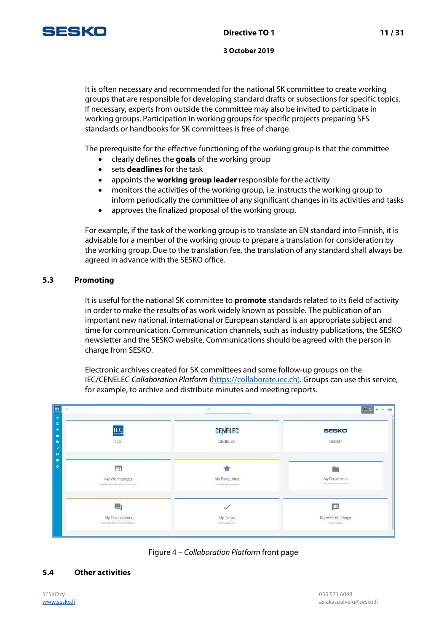

It is often necessary and recommended for the national SK committee to create working groups that are responsible for developing standard drafts or subsections for specific topics. If necessary, experts from outside the committee may also be invited to participate in working groups. Participation in working groups for specific projects preparing SFS standards or handbooks for SK committees is free of charge.

The prerequisite for the effective functioning of the working group is that the committee

- clearly defines the **goals** of the working group
- sets **deadlines** for the task
- appoints the **working group leader** responsible for the activity
- monitors the activities of the working group, i.e. instructs the working group to inform periodically the committee of any significant changes in its activities and tasks
- approves the finalized proposal of the working group.

For example, if the task of the working group is to translate an EN standard into Finnish, it is advisable for a member of the working group to prepare a translation for consideration by the working group. Due to the translation fee, the translation of any standard shall always be agreed in advance with the SESKO office.

## **5.3 Promoting**

It is useful for the national SK committee to **promote** standards related to its field of activity in order to make the results of as work widely known as possible. The publication of an important new national, international or European standard is an appropriate subject and time for communication. Communication channels, such as industry publications, the SESKO newsletter and the SESKO website. Communications should be agreed with the person in charge from SESKO.

Electronic archives created for SK committees and some follow-up groups on the IEC/CENELEC Collaboration Platform (https://collaborate.iec.ch). Groups can use this service, for example, to archive and distribute minutes and meeting reports.

| $\equiv$                                                        | 9.1                                        | $50 -$                                  |  |  |
|-----------------------------------------------------------------|--------------------------------------------|-----------------------------------------|--|--|
| <b>IEC</b>                                                      | <b>CENELEC</b>                             | SESKO                                   |  |  |
| <b>IEC</b>                                                      | CENELEC                                    | SESKO                                   |  |  |
| ĒĪ                                                              |                                            | 23                                      |  |  |
| My Workspaces<br>Collaborative assura for groups you seets with | My Favourites<br>Your assistant vertigency | My Documents<br>locate electrocypics.   |  |  |
|                                                                 |                                            | B                                       |  |  |
| My Discussions<br>But at depointing you're permissing to        | My Tasks<br>Toleramperhouse                | My Web Meetings<br>All your resortings. |  |  |



## **5.4 Other activities**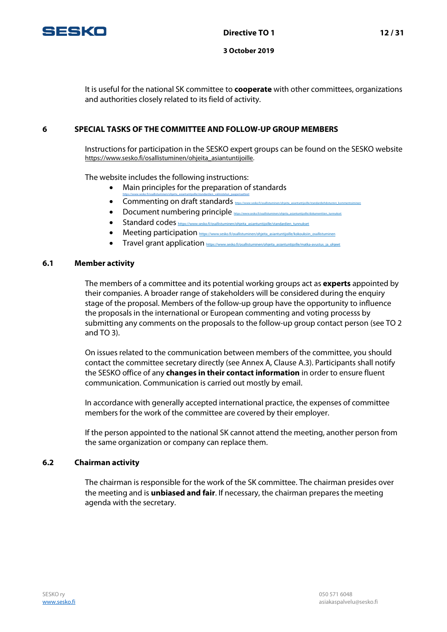

It is useful for the national SK committee to **cooperate** with other committees, organizations and authorities closely related to its field of activity.

## **6 SPECIAL TASKS OF THE COMMITTEE AND FOLLOW-UP GROUP MEMBERS**

Instructions for participation in the SESKO expert groups can be found on the SESKO website [https://www.sesko.fi/osallistuminen/ohjeita\\_asiantuntijoille.](https://www.sesko.fi/osallistuminen/ohjeita_asiantuntijoille) 

The website includes the following instructions:

- Main principles for the preparation of standards
- [https://www.sesko.fi/osallistuminen/ohjeita\\_asiantuntijoille/standardien\\_valmistelun\\_paaperiaatteet](https://www.sesko.fi/osallistuminen/ohjeita_asiantuntijoille/standardien_valmistelun_paaperiaatteet)  $\bullet$  Commenting on draft standards  $_{\text{higgs}}$
- $\bullet$  Document numbering principle  $_{\text{https://www.spt:201/100}}$
- $\bullet$  Standard codes  $\frac{1}{n}$  https://www.sesko.fi/osallistuminen/ohjeita\_asiantuntijoille
- Meeting participation [https://www.sesko.fi/osallistuminen/ohjeita\\_asiantuntijoille/kokouksiin\\_osallistuminen](https://www.sesko.fi/osallistuminen/ohjeita_asiantuntijoille/kokouksiin_osallistuminen)
- Travel grant application https://www.sesko.fi/osallistuminen/ohjeita\_asiantuntijoille/

#### **6.1 Member activity**

The members of a committee and its potential working groups act as **experts** appointed by their companies. A broader range of stakeholders will be considered during the enquiry stage of the proposal. Members of the follow-up group have the opportunity to influence the proposals in the international or European commenting and voting processs by submitting any comments on the proposals to the follow-up group contact person (see TO 2 and TO 3).

On issues related to the communication between members of the committee, you should contact the committee secretary directly (see Annex A, Clause A.3). Participants shall notify the SESKO office of any **changes in their contact information** in order to ensure fluent communication. Communication is carried out mostly by email.

In accordance with generally accepted international practice, the expenses of committee members for the work of the committee are covered by their employer.

If the person appointed to the national SK cannot attend the meeting, another person from the same organization or company can replace them.

#### **6.2 Chairman activity**

The chairman is responsible for the work of the SK committee. The chairman presides over the meeting and is **unbiased and fair**. If necessary, the chairman prepares the meeting agenda with the secretary.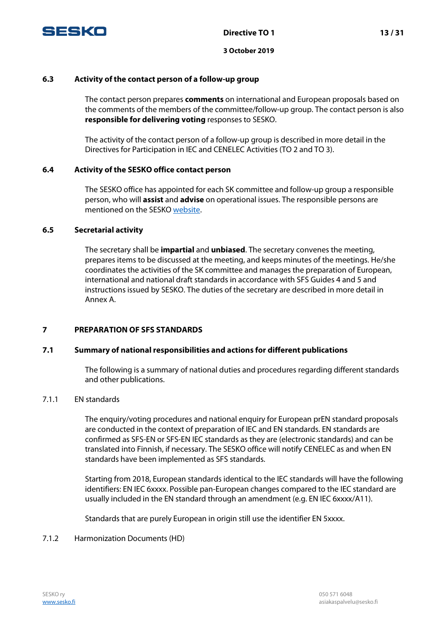

## **6.3 Activity of the contact person of a follow-up group**

The contact person prepares **comments** on international and European proposals based on the comments of the members of the committee/follow-up group. The contact person is also **responsible for delivering voting** responses to SESKO.

The activity of the contact person of a follow-up group is described in more detail in the Directives for Participation in IEC and CENELEC Activities (TO 2 and TO 3).

## **6.4 Activity of the SESKO office contact person**

The SESKO office has appointed for each SK committee and follow-up group a responsible person, who will **assist** and **advise** on operational issues. The responsible persons are mentioned on the SESKO [website.](http://www.sesko.fi/yhteystiedot/aihealueet_vastuuhenkilot) 

## **6.5 Secretarial activity**

The secretary shall be **impartial** and **unbiased**. The secretary convenes the meeting, prepares items to be discussed at the meeting, and keeps minutes of the meetings. He/she coordinates the activities of the SK committee and manages the preparation of European, international and national draft standards in accordance with SFS Guides 4 and 5 and instructions issued by SESKO. The duties of the secretary are described in more detail in Annex A.

## **7 PREPARATION OF SFS STANDARDS**

## **7.1 Summary of national responsibilities and actions for different publications**

The following is a summary of national duties and procedures regarding different standards and other publications.

## 7.1.1 EN standards

The enquiry/voting procedures and national enquiry for European prEN standard proposals are conducted in the context of preparation of IEC and EN standards. EN standards are confirmed as SFS-EN or SFS-EN IEC standards as they are (electronic standards) and can be translated into Finnish, if necessary. The SESKO office will notify CENELEC as and when EN standards have been implemented as SFS standards.

Starting from 2018, European standards identical to the IEC standards will have the following identifiers: EN IEC 6xxxx. Possible pan-European changes compared to the IEC standard are usually included in the EN standard through an amendment (e.g. EN IEC 6xxxx/A11).

Standards that are purely European in origin still use the identifier EN 5xxxx.

## 7.1.2 Harmonization Documents (HD)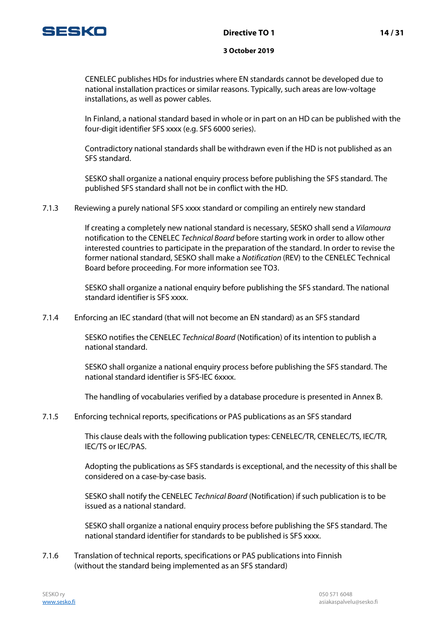

CENELEC publishes HDs for industries where EN standards cannot be developed due to national installation practices or similar reasons. Typically, such areas are low-voltage installations, as well as power cables.

In Finland, a national standard based in whole or in part on an HD can be published with the four-digit identifier SFS xxxx (e.g. SFS 6000 series).

Contradictory national standards shall be withdrawn even if the HD is not published as an SFS standard.

SESKO shall organize a national enquiry process before publishing the SFS standard. The published SFS standard shall not be in conflict with the HD.

7.1.3 Reviewing a purely national SFS xxxx standard or compiling an entirely new standard

If creating a completely new national standard is necessary, SESKO shall send a Vilamoura notification to the CENELEC Technical Board before starting work in order to allow other interested countries to participate in the preparation of the standard. In order to revise the former national standard, SESKO shall make a Notification (REV) to the CENELEC Technical Board before proceeding. For more information see TO3.

SESKO shall organize a national enquiry before publishing the SFS standard. The national standard identifier is SFS xxxx.

7.1.4 Enforcing an IEC standard (that will not become an EN standard) as an SFS standard

SESKO notifies the CENELEC Technical Board (Notification) of its intention to publish a national standard.

SESKO shall organize a national enquiry process before publishing the SFS standard. The national standard identifier is SFS-IEC 6xxxx.

The handling of vocabularies verified by a database procedure is presented in Annex B.

7.1.5 Enforcing technical reports, specifications or PAS publications as an SFS standard

This clause deals with the following publication types: CENELEC/TR, CENELEC/TS, IEC/TR, IEC/TS or IEC/PAS.

Adopting the publications as SFS standards is exceptional, and the necessity of this shall be considered on a case-by-case basis.

SESKO shall notify the CENELEC Technical Board (Notification) if such publication is to be issued as a national standard.

SESKO shall organize a national enquiry process before publishing the SFS standard. The national standard identifier for standards to be published is SFS xxxx.

7.1.6 Translation of technical reports, specifications or PAS publications into Finnish (without the standard being implemented as an SFS standard)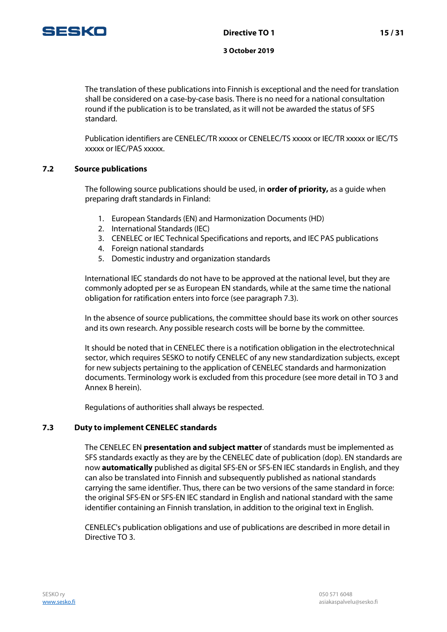

The translation of these publications into Finnish is exceptional and the need for translation shall be considered on a case-by-case basis. There is no need for a national consultation round if the publication is to be translated, as it will not be awarded the status of SFS standard.

Publication identifiers are CENELEC/TR xxxxx or CENELEC/TS xxxxx or IEC/TR xxxxx or IEC/TS xxxxx or IEC/PAS xxxxx.

## **7.2 Source publications**

The following source publications should be used, in **order of priority,** as a guide when preparing draft standards in Finland:

- 1. European Standards (EN) and Harmonization Documents (HD)
- 2. International Standards (IEC)
- 3. CENELEC or IEC Technical Specifications and reports, and IEC PAS publications
- 4. Foreign national standards
- 5. Domestic industry and organization standards

International IEC standards do not have to be approved at the national level, but they are commonly adopted per se as European EN standards, while at the same time the national obligation for ratification enters into force (see paragraph 7.3).

In the absence of source publications, the committee should base its work on other sources and its own research. Any possible research costs will be borne by the committee.

It should be noted that in CENELEC there is a notification obligation in the electrotechnical sector, which requires SESKO to notify CENELEC of any new standardization subjects, except for new subjects pertaining to the application of CENELEC standards and harmonization documents. Terminology work is excluded from this procedure (see more detail in TO 3 and Annex B herein).

Regulations of authorities shall always be respected.

## **7.3 Duty to implement CENELEC standards**

The CENELEC EN **presentation and subject matter** of standards must be implemented as SFS standards exactly as they are by the CENELEC date of publication (dop). EN standards are now **automatically** published as digital SFS-EN or SFS-EN IEC standards in English, and they can also be translated into Finnish and subsequently published as national standards carrying the same identifier. Thus, there can be two versions of the same standard in force: the original SFS-EN or SFS-EN IEC standard in English and national standard with the same identifier containing an Finnish translation, in addition to the original text in English.

CENELEC's publication obligations and use of publications are described in more detail in Directive TO 3.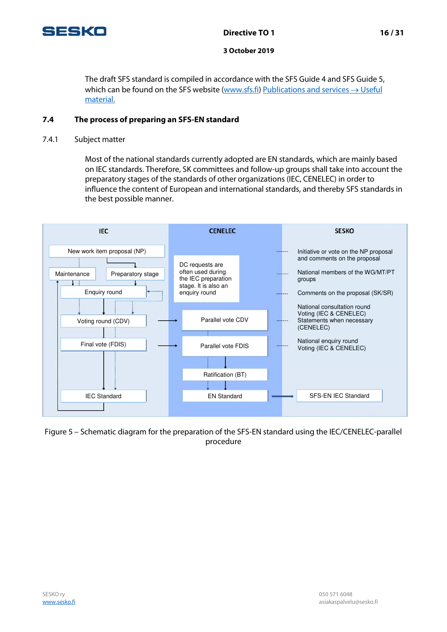

## **Directive TO 1 16 / 31**

#### **3 October 2019**

The draft SFS standard is compiled in accordance with the SFS Guide 4 and SFS Guide 5, which can be found on the SFS website [\(www.sfs.fi\)](http://www.sfs.fi/) [Publications and services](http://www.sfs.fi/julkaisut_ja_palvelut/hyodyllisia_aineistoja?fid=55)  $\rightarrow$  Useful [material.](http://www.sfs.fi/julkaisut_ja_palvelut/hyodyllisia_aineistoja?fid=55)

## **7.4 The process of preparing an SFS-EN standard**

7.4.1 Subject matter

Most of the national standards currently adopted are EN standards, which are mainly based on IEC standards. Therefore, SK committees and follow-up groups shall take into account the preparatory stages of the standards of other organizations (IEC, CENELEC) in order to influence the content of European and international standards, and thereby SFS standards in the best possible manner.



Figure 5 – Schematic diagram for the preparation of the SFS-EN standard using the IEC/CENELEC-parallel procedure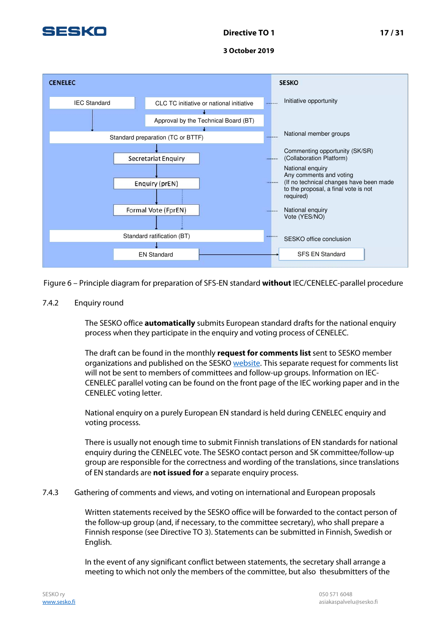



Figure 6 – Principle diagram for preparation of SFS-EN standard **without** IEC/CENELEC-parallel procedure

## 7.4.2 Enquiry round

The SESKO office **automatically** submits European standard drafts for the national enquiry process when they participate in the enquiry and voting process of CENELEC.

The draft can be found in the monthly **request for comments list** sent to SESKO member organizations and published on the SESK[O website.](http://www.sesko.fi/osallistuminen/ajankohtaiset_lausunnot_ja_aanestykset/seskon_lausuntopyynnot) This separate request for comments list will not be sent to members of committees and follow-up groups. Information on IEC-CENELEC parallel voting can be found on the front page of the IEC working paper and in the CENELEC voting letter.

National enquiry on a purely European EN standard is held during CENELEC enquiry and voting processs.

There is usually not enough time to submit Finnish translations of EN standards for national enquiry during the CENELEC vote. The SESKO contact person and SK committee/follow-up group are responsible for the correctness and wording of the translations, since translations of EN standards are **not issued for** a separate enquiry process.

## 7.4.3 Gathering of comments and views, and voting on international and European proposals

Written statements received by the SESKO office will be forwarded to the contact person of the follow-up group (and, if necessary, to the committee secretary), who shall prepare a Finnish response (see Directive TO 3). Statements can be submitted in Finnish, Swedish or English.

In the event of any significant conflict between statements, the secretary shall arrange a meeting to which not only the members of the committee, but also thesubmitters of the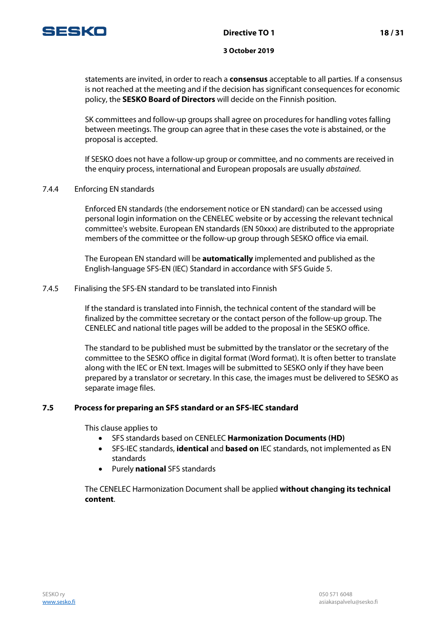

statements are invited, in order to reach a **consensus** acceptable to all parties. If a consensus is not reached at the meeting and if the decision has significant consequences for economic policy, the **SESKO Board of Directors** will decide on the Finnish position.

SK committees and follow-up groups shall agree on procedures for handling votes falling between meetings. The group can agree that in these cases the vote is abstained, or the proposal is accepted.

If SESKO does not have a follow-up group or committee, and no comments are received in the enquiry process, international and European proposals are usually *abstained*.

7.4.4 Enforcing EN standards

Enforced EN standards (the endorsement notice or EN standard) can be accessed using personal login information on the CENELEC website or by accessing the relevant technical committee's website. European EN standards (EN 50xxx) are distributed to the appropriate members of the committee or the follow-up group through SESKO office via email.

The European EN standard will be **automatically** implemented and published as the English-language SFS-EN (IEC) Standard in accordance with SFS Guide 5.

7.4.5 Finalising the SFS-EN standard to be translated into Finnish

If the standard is translated into Finnish, the technical content of the standard will be finalized by the committee secretary or the contact person of the follow-up group. The CENELEC and national title pages will be added to the proposal in the SESKO office.

The standard to be published must be submitted by the translator or the secretary of the committee to the SESKO office in digital format (Word format). It is often better to translate along with the IEC or EN text. Images will be submitted to SESKO only if they have been prepared by a translator or secretary. In this case, the images must be delivered to SESKO as separate image files.

## **7.5 Process for preparing an SFS standard or an SFS-IEC standard**

This clause applies to

- SFS standards based on CENELEC **Harmonization Documents (HD)**
- SFS-IEC standards, **identical** and **based on** IEC standards, not implemented as EN standards
- Purely **national** SFS standards

The CENELEC Harmonization Document shall be applied **without changing its technical content**.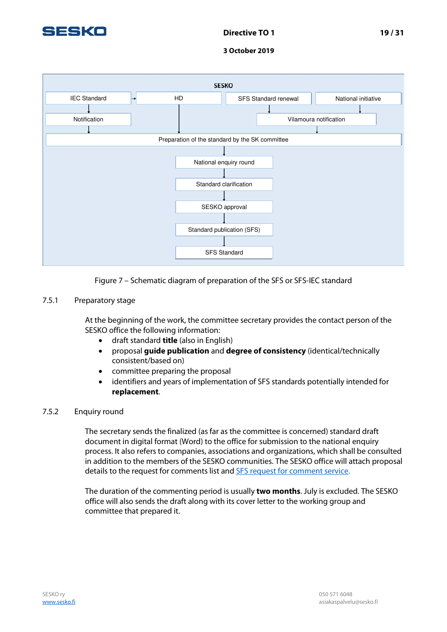



## Figure 7 – Schematic diagram of preparation of the SFS or SFS-IEC standard

## 7.5.1 Preparatory stage

At the beginning of the work, the committee secretary provides the contact person of the SESKO office the following information:

- draft standard **title** (also in English)
- proposal **guide publication** and **degree of consistency** (identical/technically consistent/based on)
- committee preparing the proposal
- identifiers and years of implementation of SFS standards potentially intended for **replacement**.

## 7.5.2 Enquiry round

The secretary sends the finalized (as far as the committee is concerned) standard draft document in digital format (Word) to the office for submission to the national enquiry process. It also refers to companies, associations and organizations, which shall be consulted in addition to the members of the SESKO communities. The SESKO office will attach proposal details to the request for comments list and **SFS** request for comment service.

The duration of the commenting period is usually **two months**. July is excluded. The SESKO office will also sends the draft along with its cover letter to the working group and committee that prepared it.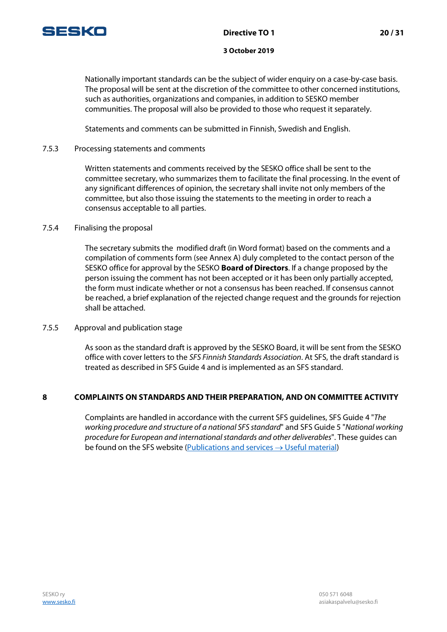

Nationally important standards can be the subject of wider enquiry on a case-by-case basis. The proposal will be sent at the discretion of the committee to other concerned institutions, such as authorities, organizations and companies, in addition to SESKO member communities. The proposal will also be provided to those who request it separately.

Statements and comments can be submitted in Finnish, Swedish and English.

## 7.5.3 Processing statements and comments

Written statements and comments received by the SESKO office shall be sent to the committee secretary, who summarizes them to facilitate the final processing. In the event of any significant differences of opinion, the secretary shall invite not only members of the committee, but also those issuing the statements to the meeting in order to reach a consensus acceptable to all parties.

## 7.5.4 Finalising the proposal

The secretary submits the modified draft (in Word format) based on the comments and a compilation of comments form (see Annex A) duly completed to the contact person of the SESKO office for approval by the SESKO **Board of Directors**. If a change proposed by the person issuing the comment has not been accepted or it has been only partially accepted, the form must indicate whether or not a consensus has been reached. If consensus cannot be reached, a brief explanation of the rejected change request and the grounds for rejection shall be attached.

## 7.5.5 Approval and publication stage

As soon as the standard draft is approved by the SESKO Board, it will be sent from the SESKO office with cover letters to the SFS Finnish Standards Association. At SFS, the draft standard is treated as described in SFS Guide 4 and is implemented as an SFS standard.

## **8 COMPLAINTS ON STANDARDS AND THEIR PREPARATION, AND ON COMMITTEE ACTIVITY**

Complaints are handled in accordance with the current SFS guidelines, SFS Guide 4 "The working procedure and structure of a national SFS standard" and SFS Guide 5 "National working procedure for European and international standards and other deliverables". These guides can be found on the SFS website [\(Publications and services](http://www.sfs.fi/julkaisut_ja_palvelut/hyodyllisia_aineistoja?fid=55)  $\rightarrow$  Useful material)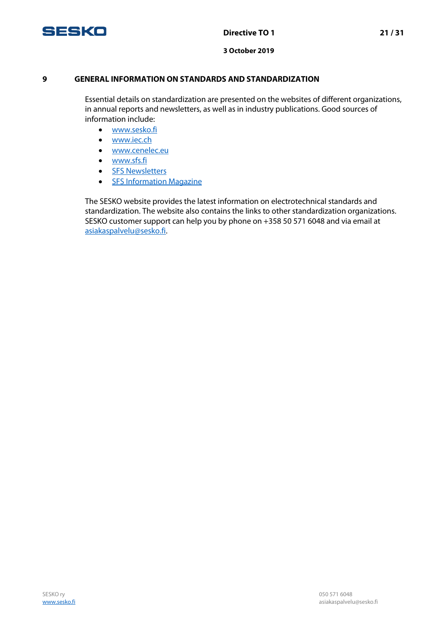

## **9 GENERAL INFORMATION ON STANDARDS AND STANDARDIZATION**

Essential details on standardization are presented on the websites of different organizations, in annual reports and newsletters, as well as in industry publications. Good sources of information include:

- [www.sesko.fi](http://www.sesko.fi/)
- [www.iec.ch](http://www.iec.ch/)
- [www.cenelec.eu](http://www.cenelec.eu/)
- [www.sfs.fi](http://www.sfs.fi/)
- [SFS Newsletters](http://www.sfs.fi/ajankohtaista/uutiskirjeet)
- [SFS Information Magazine](http://www.sfs.fi/ajankohtaista/sfs-tiedotus)

The SESKO website provides the latest information on electrotechnical standards and standardization. The website also contains the links to other standardization organizations. SESKO customer support can help you by phone on +358 50 571 6048 and via email at [asiakaspalvelu@sesko.fi.](mailto:asiakaspalvelu@sesko.fi)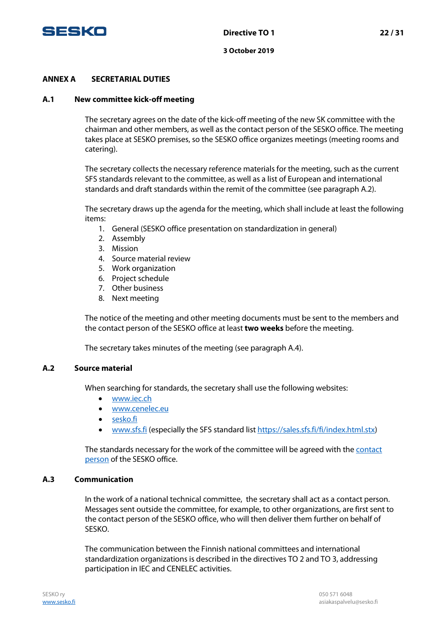

## **ANNEX A SECRETARIAL DUTIES**

#### **A.1 New committee kick-off meeting**

The secretary agrees on the date of the kick-off meeting of the new SK committee with the chairman and other members, as well as the contact person of the SESKO office. The meeting takes place at SESKO premises, so the SESKO office organizes meetings (meeting rooms and catering).

The secretary collects the necessary reference materials for the meeting, such as the current SFS standards relevant to the committee, as well as a list of European and international standards and draft standards within the remit of the committee (see paragraph A.2).

The secretary draws up the agenda for the meeting, which shall include at least the following items:

- 1. General (SESKO office presentation on standardization in general)
- 2. Assembly
- 3. Mission
- 4. Source material review
- 5. Work organization
- 6. Project schedule
- 7. Other business
- 8. Next meeting

The notice of the meeting and other meeting documents must be sent to the members and the contact person of the SESKO office at least **two weeks** before the meeting.

The secretary takes minutes of the meeting (see paragraph A.4).

#### **A.2 Source material**

When searching for standards, the secretary shall use the following websites:

- [www.iec.ch](http://www.iec.ch/)
- [www.cenelec.eu](http://www.cenelec.eu/)
- sesko.fi
- [www.sfs.fi](http://www.sfs.fi/) (especially the SFS standard list [https://sales.sfs.fi/fi/index.html.stx\)](https://sales.sfs.fi/fi/index.html.stx)

The standards necessary for the work of the committee will be agreed with the contact [person](https://www.sesko.fi/yhteystiedot/aihealueet_vastuuhenkilot) of the SESKO office.

## **A.3 Communication**

In the work of a national technical committee, the secretary shall act as a contact person. Messages sent outside the committee, for example, to other organizations, are first sent to the contact person of the SESKO office, who will then deliver them further on behalf of SESKO.

The communication between the Finnish national committees and international standardization organizations is described in the directives TO 2 and TO 3, addressing participation in IEC and CENELEC activities.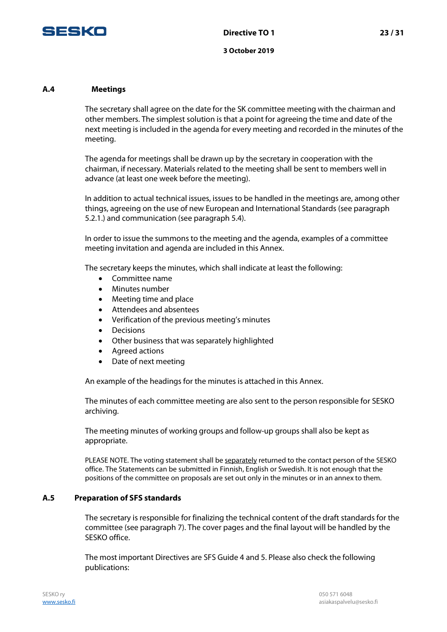

#### **A.4 Meetings**

The secretary shall agree on the date for the SK committee meeting with the chairman and other members. The simplest solution is that a point for agreeing the time and date of the next meeting is included in the agenda for every meeting and recorded in the minutes of the meeting.

The agenda for meetings shall be drawn up by the secretary in cooperation with the chairman, if necessary. Materials related to the meeting shall be sent to members well in advance (at least one week before the meeting).

In addition to actual technical issues, issues to be handled in the meetings are, among other things, agreeing on the use of new European and International Standards (see paragraph 5.2.1.) and communication (see paragraph 5.4).

In order to issue the summons to the meeting and the agenda, examples of a committee meeting invitation and agenda are included in this Annex.

The secretary keeps the minutes, which shall indicate at least the following:

- Committee name
- Minutes number
- Meeting time and place
- Attendees and absentees
- Verification of the previous meeting's minutes
- Decisions
- Other business that was separately highlighted
- Agreed actions
- Date of next meeting

An example of the headings for the minutes is attached in this Annex.

The minutes of each committee meeting are also sent to the person responsible for SESKO archiving.

The meeting minutes of working groups and follow-up groups shall also be kept as appropriate.

PLEASE NOTE. The voting statement shall be separately returned to the contact person of the SESKO office. The Statements can be submitted in Finnish, English or Swedish. It is not enough that the positions of the committee on proposals are set out only in the minutes or in an annex to them.

#### **A.5 Preparation of SFS standards**

The secretary is responsible for finalizing the technical content of the draft standards for the committee (see paragraph 7). The cover pages and the final layout will be handled by the SESKO office.

The most important Directives are SFS Guide 4 and 5. Please also check the following publications: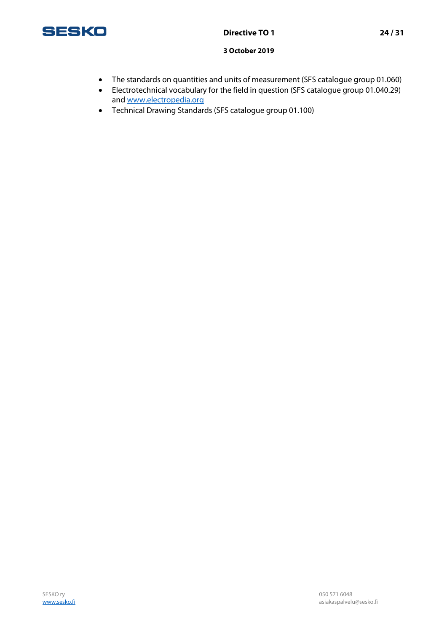

- The standards on quantities and units of measurement (SFS catalogue group 01.060)
- Electrotechnical vocabulary for the field in question (SFS catalogue group 01.040.29) and [www.electropedia.org](http://www.electropedia.org/)
- Technical Drawing Standards (SFS catalogue group 01.100)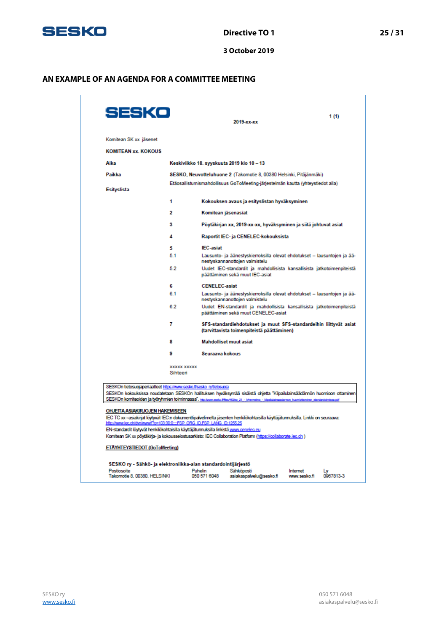

## **AN EXAMPLE OF AN AGENDA FOR A COMMITTEE MEETING**

| SESKo                                                                                                                                                                                                                                                                                                       |                                |                                                                                                            | 2019-xx-xx                                                                                                      |  | 1(1) |  |  |
|-------------------------------------------------------------------------------------------------------------------------------------------------------------------------------------------------------------------------------------------------------------------------------------------------------------|--------------------------------|------------------------------------------------------------------------------------------------------------|-----------------------------------------------------------------------------------------------------------------|--|------|--|--|
| Komitean SK xx jäsenet                                                                                                                                                                                                                                                                                      |                                |                                                                                                            |                                                                                                                 |  |      |  |  |
| <b>KOMITEAN xx. KOKOUS</b>                                                                                                                                                                                                                                                                                  |                                |                                                                                                            |                                                                                                                 |  |      |  |  |
| Aika                                                                                                                                                                                                                                                                                                        |                                |                                                                                                            | Keskiviikko 18. syyskuuta 2019 klo 10 – 13                                                                      |  |      |  |  |
| Paikka                                                                                                                                                                                                                                                                                                      |                                |                                                                                                            | SESKO, Neuvotteluhuone 2 (Takomotie 8, 00380 Helsinki, Pitäjänmäki)                                             |  |      |  |  |
| <b>Esityslista</b>                                                                                                                                                                                                                                                                                          |                                |                                                                                                            | Etäosallistumismahdollisuus GoToMeeting-järjestelmän kautta (yhteystiedot alla)                                 |  |      |  |  |
|                                                                                                                                                                                                                                                                                                             | 1                              |                                                                                                            | Kokouksen avaus ja esityslistan hyväksyminen                                                                    |  |      |  |  |
|                                                                                                                                                                                                                                                                                                             | 2                              | Komitean jäsenasiat                                                                                        |                                                                                                                 |  |      |  |  |
|                                                                                                                                                                                                                                                                                                             | з                              |                                                                                                            | Pöytäkirjan xx, 2019-xx-xx, hyväksyminen ja siitä johtuvat asiat                                                |  |      |  |  |
|                                                                                                                                                                                                                                                                                                             | 4                              |                                                                                                            | Raportit IEC- ja CENELEC-kokouksista                                                                            |  |      |  |  |
|                                                                                                                                                                                                                                                                                                             | 5                              | <b>IEC-asiat</b>                                                                                           |                                                                                                                 |  |      |  |  |
|                                                                                                                                                                                                                                                                                                             | 5.1                            | Lausunto- ja äänestyskierroksilla olevat ehdotukset - lausuntojen ja ää-<br>nestyskannanottojen valmistelu |                                                                                                                 |  |      |  |  |
|                                                                                                                                                                                                                                                                                                             | 5.2                            | Uudet IEC-standardit ja mahdollisista kansallisista jatkotoimenpiteistä<br>päättäminen sekä muut IEC-asiat |                                                                                                                 |  |      |  |  |
|                                                                                                                                                                                                                                                                                                             | £                              | <b>CENELEC-asiat</b>                                                                                       |                                                                                                                 |  |      |  |  |
|                                                                                                                                                                                                                                                                                                             | 6.1                            |                                                                                                            | Lausunto- ja äänestyskierroksilla olevat ehdotukset - lausuntojen ja ää-<br>nestyskannanottojen valmistelu      |  |      |  |  |
|                                                                                                                                                                                                                                                                                                             | 6.2                            |                                                                                                            | Uudet EN-standardit ja mahdollisista kansallisista jatkotoimenpiteistä<br>päättäminen sekä muut CENELEC-asiat   |  |      |  |  |
|                                                                                                                                                                                                                                                                                                             | 7                              |                                                                                                            | SFS-standardiehdotukset ja muut SFS-standardeihin liittyvät asiat<br>(tarvittavista toimenpiteistä päättäminen) |  |      |  |  |
|                                                                                                                                                                                                                                                                                                             | 8                              |                                                                                                            | <b>Mahdolliset muut asiat</b>                                                                                   |  |      |  |  |
|                                                                                                                                                                                                                                                                                                             | ۹                              | Seuraava kokous                                                                                            |                                                                                                                 |  |      |  |  |
|                                                                                                                                                                                                                                                                                                             | <b>XXXXX XXXXX</b><br>Sihteeri |                                                                                                            |                                                                                                                 |  |      |  |  |
| SESKOn tietosuojaperiaatteet https://www.sesko.f/sesko_ry/tietosuoja<br>SESKOn kokouksissa noudatetaan SESKOn hallituksen hyväksymää sisäistä ohjetta "Kilpailulainsäädännön huomioon ottaminen<br>SESKOn komiteoiden ja työryhmien toiminnassa". Hertuun selo Mesköko 21 - Merreina - kloskainsadarron huo |                                |                                                                                                            |                                                                                                                 |  |      |  |  |
| <b>OHJEITA ASIAKIRJOJEN HAKEMISEEN</b><br>IEC TC xx –asiakirjat löytyvät IEC:n dokumenttipalvelimelta jäsenten henkilökohtaisilla käyttäjätunnuksilla. Linkki on seuraava:                                                                                                                                  |                                |                                                                                                            |                                                                                                                 |  |      |  |  |
| http://www.lec.ch/dvn/wwwf?p=103:30:0::::FSP_ORG_ID.FSP_LANG_ID:1255.25                                                                                                                                                                                                                                     |                                |                                                                                                            |                                                                                                                 |  |      |  |  |
| EN-standardit löytyvät henkilökohtaisilla käyttäjätunnuksilla linkistä www.cenelec.eu<br>Komitean SK xx pöytäkirja- ja kokousselostusarkisto: IEC Collaboration Platform (https://collaborate.iec.ch )                                                                                                      |                                |                                                                                                            |                                                                                                                 |  |      |  |  |
| ETÄYHTEYSTIEDOT (GoToMeeting)                                                                                                                                                                                                                                                                               |                                |                                                                                                            |                                                                                                                 |  |      |  |  |
| SESKO ry - Sähkö- ja elektroniikka-alan standardointijärjestö                                                                                                                                                                                                                                               |                                |                                                                                                            |                                                                                                                 |  |      |  |  |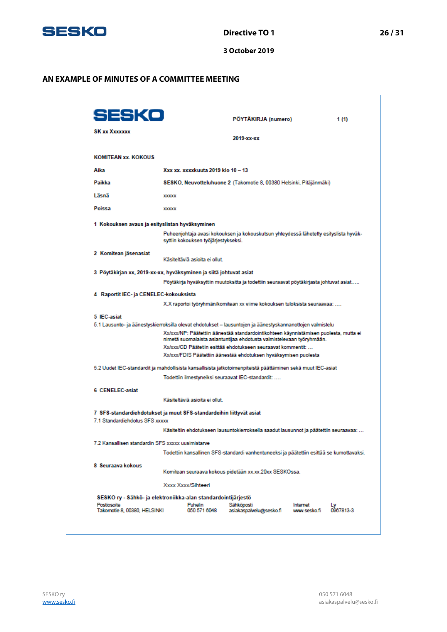

#### **AN EXAMPLE OF MINUTES OF A COMMITTEE MEETING**

| SESKO                                                                                                 |              |                                                               | PÖYTÄKIRJA (numero)                                                                                                                                                                                                                                                                                                                                                                                             | 1(1) |
|-------------------------------------------------------------------------------------------------------|--------------|---------------------------------------------------------------|-----------------------------------------------------------------------------------------------------------------------------------------------------------------------------------------------------------------------------------------------------------------------------------------------------------------------------------------------------------------------------------------------------------------|------|
| <b>SK xx Xxxxxxx</b>                                                                                  |              |                                                               | 2019-xx-xx                                                                                                                                                                                                                                                                                                                                                                                                      |      |
| <b>KOMITEAN xx. KOKOUS</b>                                                                            |              |                                                               |                                                                                                                                                                                                                                                                                                                                                                                                                 |      |
| Aika                                                                                                  |              | Xxx xx. xxxxkuuta 2019 klo 10 - 13                            |                                                                                                                                                                                                                                                                                                                                                                                                                 |      |
| Paikka                                                                                                |              |                                                               | SESKO, Neuvotteluhuone 2 (Takomotie 8, 00380 Helsinki, Pitäjänmäki)                                                                                                                                                                                                                                                                                                                                             |      |
| Läsnä                                                                                                 | <b>XXXXX</b> |                                                               |                                                                                                                                                                                                                                                                                                                                                                                                                 |      |
| Poissa                                                                                                | <b>XXXXX</b> |                                                               |                                                                                                                                                                                                                                                                                                                                                                                                                 |      |
| 1 Kokouksen avaus ja esityslistan hyväksyminen                                                        |              |                                                               |                                                                                                                                                                                                                                                                                                                                                                                                                 |      |
|                                                                                                       |              | syttiin kokouksen työjärjestykseksi.                          | Puheenjohtaja avasi kokouksen ja kokouskutsun yhteydessä lähetetty esityslista hyväk-                                                                                                                                                                                                                                                                                                                           |      |
| 2 Komitean jäsenasiat                                                                                 |              | Käsiteltäviä asioita ei ollut.                                |                                                                                                                                                                                                                                                                                                                                                                                                                 |      |
| 3  Pöytäkirjan xx, 2019-xx-xx, hyväksyminen ja siitä johtuvat asiat                                   |              |                                                               |                                                                                                                                                                                                                                                                                                                                                                                                                 |      |
|                                                                                                       |              |                                                               | Pöytäkirja hyväksyttiin muutoksitta ja todettiin seuraavat pöytäkirjasta johtuvat asiat                                                                                                                                                                                                                                                                                                                         |      |
| 4 Raportit IEC- ja CENELEC-kokouksista                                                                |              |                                                               |                                                                                                                                                                                                                                                                                                                                                                                                                 |      |
|                                                                                                       |              |                                                               | X.X raportoi työryhmän/komitean xx viime kokouksen tuloksista seuraavaa:                                                                                                                                                                                                                                                                                                                                        |      |
| 5 IEC-asiat                                                                                           |              |                                                               | 5.1 Lausunto- ja äänestyskierroksilla olevat ehdotukset – lausuntojen ja äänestyskannanottojen valmistelu<br>Xx/xxx/NP: Päätettiin äänestää standardointikohteen käynnistämisen puolesta, mutta ei<br>nimetä suomalaista asiantuntijaa ehdotusta valmistelevaan työryhmään.<br>Xx/xxx/CD Päätetiin esittää ehdotukseen seuraavat kommentit:<br>Xx/xxx/FDIS Päätettiin äänestää ehdotuksen hyväksymisen puolesta |      |
|                                                                                                       |              |                                                               | 5.2 Uudet IEC-standardit ja mahdollisista kansallisista jatkotoimenpiteistä päättäminen sekä muut IEC-asiat                                                                                                                                                                                                                                                                                                     |      |
|                                                                                                       |              |                                                               | Todettiin ilmestyneiksi seuraavat IEC-standardit:                                                                                                                                                                                                                                                                                                                                                               |      |
| 6 CENELEC-asiat                                                                                       |              |                                                               |                                                                                                                                                                                                                                                                                                                                                                                                                 |      |
|                                                                                                       |              | Käsiteltäviä asioita ei ollut.                                |                                                                                                                                                                                                                                                                                                                                                                                                                 |      |
| 7 SFS-standardiehdotukset ja muut SFS-standardeihin liittyvät asiat<br>7.1 Standardiehdotus SFS xxxxx |              |                                                               |                                                                                                                                                                                                                                                                                                                                                                                                                 |      |
|                                                                                                       |              |                                                               | Käsiteltiin ehdotukseen lausuntokierroksella saadut lausunnot ja päätettiin seuraavaa:                                                                                                                                                                                                                                                                                                                          |      |
| 7.2 Kansallisen standardin SFS xxxxx uusimistarve                                                     |              |                                                               |                                                                                                                                                                                                                                                                                                                                                                                                                 |      |
|                                                                                                       |              |                                                               | Todettiin kansallinen SFS-standardi vanhentuneeksi ja päätettiin esittää se kumottavaksi.                                                                                                                                                                                                                                                                                                                       |      |
| 8. Seuraava kokous.                                                                                   |              |                                                               | Komitean seuraava kokous pidetään xx.xx.20xx SESKOssa.                                                                                                                                                                                                                                                                                                                                                          |      |
|                                                                                                       |              | Xxxx Xxxx/Sihteeri                                            |                                                                                                                                                                                                                                                                                                                                                                                                                 |      |
|                                                                                                       |              | SESKO ry - Sähkö- ja elektroniikka-alan standardointijärjestö |                                                                                                                                                                                                                                                                                                                                                                                                                 |      |
|                                                                                                       |              |                                                               |                                                                                                                                                                                                                                                                                                                                                                                                                 |      |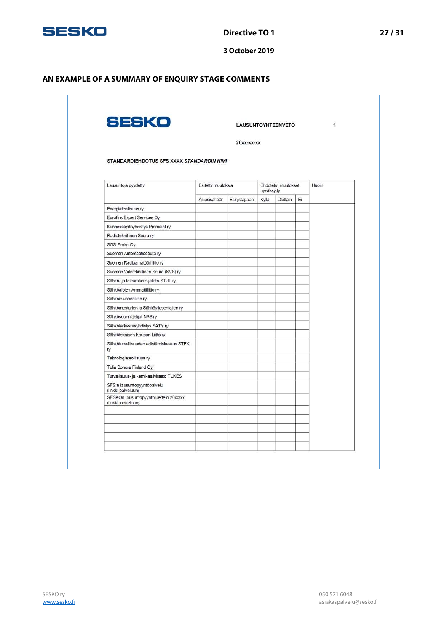

## **AN EXAMPLE OF A SUMMARY OF ENQUIRY STAGE COMMENTS**

|                                                              |                    | $20xx$ - $xx$ - $xx$ |                                   |          |       |  |
|--------------------------------------------------------------|--------------------|----------------------|-----------------------------------|----------|-------|--|
|                                                              |                    |                      |                                   |          |       |  |
| STANDARDIEHDOTUS SFS XXXX STANDARDIN NIMI                    |                    |                      |                                   |          |       |  |
| Lausuntoja pyydetty                                          | Esitetty muutoksia |                      | Ehdotetut muutokset<br>hyväksytty |          | Huom. |  |
|                                                              | Asiasisältöön      | Esitystapaan         | Kyllä                             | Osittain | Ei    |  |
| Energiateollisuus ry                                         |                    |                      |                                   |          |       |  |
| Eurofins Expert Services Oy                                  |                    |                      |                                   |          |       |  |
| Kunnossapitoyhdistys Promaint ry                             |                    |                      |                                   |          |       |  |
| Radioteknillinen Seura ry                                    |                    |                      |                                   |          |       |  |
| SGS Fimko Oy                                                 |                    |                      |                                   |          |       |  |
| Suomen Automaatioseura ry                                    |                    |                      |                                   |          |       |  |
| Suomen Radioamatööriliitto ry                                |                    |                      |                                   |          |       |  |
| Suomen Valoteknillinen Seura (SVS) ry                        |                    |                      |                                   |          |       |  |
| Sähkö- ja teleurakoitsijaliitto STUL ry                      |                    |                      |                                   |          |       |  |
| Sähköalojen Ammattiliitto ry                                 |                    |                      |                                   |          |       |  |
| Sähköinsinööriliitto ry                                      |                    |                      |                                   |          |       |  |
| Sähkömestarien ja Sähköyliasentajien ry                      |                    |                      |                                   |          |       |  |
| Sähkösuunnittelijat NSS ry                                   |                    |                      |                                   |          |       |  |
| Sähkötarkastusyhdistys SÄTY ry                               |                    |                      |                                   |          |       |  |
| Sähköteknisen Kaupan Liitto ry                               |                    |                      |                                   |          |       |  |
| Sähköturvallisuuden edistämiskeskus STEK<br>ry               |                    |                      |                                   |          |       |  |
| Teknologiateollisuus ry                                      |                    |                      |                                   |          |       |  |
| Telia Sonera Finland Oyj                                     |                    |                      |                                   |          |       |  |
| Turvallisuus- ja kemikaalivirasto TUKES                      |                    |                      |                                   |          |       |  |
| SFS:n lausuntopyyntöpalvelu<br>(linkki palveluun)            |                    |                      |                                   |          |       |  |
| SESKOn lausuntopyyntöluettelo 20xx/xx<br>(linkki luetteloon) |                    |                      |                                   |          |       |  |
|                                                              |                    |                      |                                   |          |       |  |
|                                                              |                    |                      |                                   |          |       |  |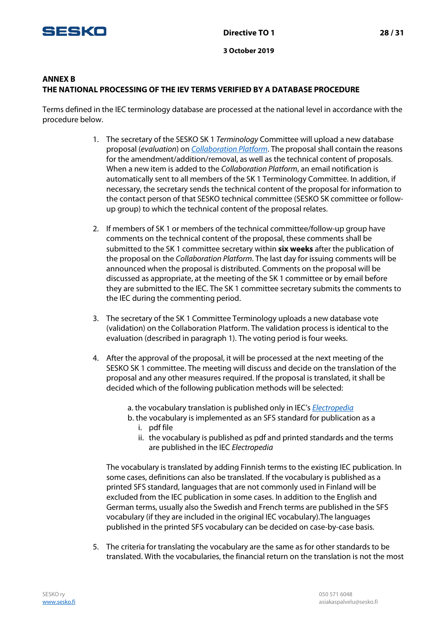

## **ANNEX B THE NATIONAL PROCESSING OF THE IEV TERMS VERIFIED BY A DATABASE PROCEDURE**

Terms defined in the IEC terminology database are processed at the national level in accordance with the procedure below.

- 1. The secretary of the SESKO SK 1 Terminology Committee will upload a new database proposal (evaluation) on [Collaboration Platform](https://collaborate.iec.ch/). The proposal shall contain the reasons for the amendment/addition/removal, as well as the technical content of proposals. When a new item is added to the Collaboration Platform, an email notification is automatically sent to all members of the SK 1 Terminology Committee. In addition, if necessary, the secretary sends the technical content of the proposal for information to the contact person of that SESKO technical committee (SESKO SK committee or followup group) to which the technical content of the proposal relates.
- 2. If members of SK 1 or members of the technical committee/follow-up group have comments on the technical content of the proposal, these comments shall be submitted to the SK 1 committee secretary within **six weeks** after the publication of the proposal on the Collaboration Platform. The last day for issuing comments will be announced when the proposal is distributed. Comments on the proposal will be discussed as appropriate, at the meeting of the SK 1 committee or by email before they are submitted to the IEC. The SK 1 committee secretary submits the comments to the IEC during the commenting period.
- 3. The secretary of the SK 1 Committee Terminology uploads a new database vote (validation) on the [Collaboration Platform](https://collaborate.iec.ch/). The validation process is identical to the evaluation (described in paragraph 1). The voting period is four weeks.
- 4. After the approval of the proposal, it will be processed at the next meeting of the SESKO SK 1 committee. The meeting will discuss and decide on the translation of the proposal and any other measures required. If the proposal is translated, it shall be decided which of the following publication methods will be selected:
	- a. the vocabulary translation is published only in IEC's [Electropedia](http://www.electropedia.org/)
	- b. the vocabulary is implemented as an SFS standard for publication as a i. pdf file
		- ii. the vocabulary is published as pdf and printed standards and the terms are published in the IEC Electropedia

The vocabulary is translated by adding Finnish terms to the existing IEC publication. In some cases, definitions can also be translated. If the vocabulary is published as a printed SFS standard, languages that are not commonly used in Finland will be excluded from the IEC publication in some cases. In addition to the English and German terms, usually also the Swedish and French terms are published in the SFS vocabulary (if they are included in the original IEC vocabulary).The languages published in the printed SFS vocabulary can be decided on case-by-case basis.

5. The criteria for translating the vocabulary are the same as for other standards to be translated. With the vocabularies, the financial return on the translation is not the most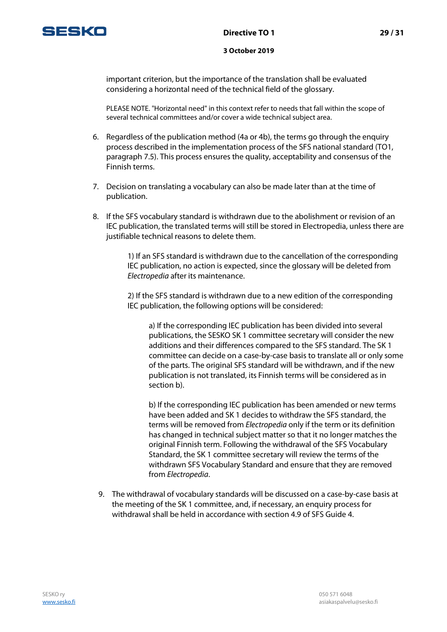

important criterion, but the importance of the translation shall be evaluated considering a horizontal need of the technical field of the glossary.

PLEASE NOTE. "Horizontal need" in this context refer to needs that fall within the scope of several technical committees and/or cover a wide technical subject area.

- 6. Regardless of the publication method (4a or 4b), the terms go through the enquiry process described in the implementation process of the SFS national standard (TO1, paragraph 7.5). This process ensures the quality, acceptability and consensus of the Finnish terms.
- 7. Decision on translating a vocabulary can also be made later than at the time of publication.
- 8. If the SFS vocabulary standard is withdrawn due to the abolishment or revision of an IEC publication, the translated terms will still be stored in Electropedia, unless there are justifiable technical reasons to delete them.

1) If an SFS standard is withdrawn due to the cancellation of the corresponding IEC publication, no action is expected, since the glossary will be deleted from Electropedia after its maintenance.

2) If the SFS standard is withdrawn due to a new edition of the corresponding IEC publication, the following options will be considered:

a) If the corresponding IEC publication has been divided into several publications, the SESKO SK 1 committee secretary will consider the new additions and their differences compared to the SFS standard. The SK 1 committee can decide on a case-by-case basis to translate all or only some of the parts. The original SFS standard will be withdrawn, and if the new publication is not translated, its Finnish terms will be considered as in section b).

b) If the corresponding IEC publication has been amended or new terms have been added and SK 1 decides to withdraw the SFS standard, the terms will be removed from *Electropedia* only if the term or its definition has changed in technical subject matter so that it no longer matches the original Finnish term. Following the withdrawal of the SFS Vocabulary Standard, the SK 1 committee secretary will review the terms of the withdrawn SFS Vocabulary Standard and ensure that they are removed from Electropedia.

9. The withdrawal of vocabulary standards will be discussed on a case-by-case basis at the meeting of the SK 1 committee, and, if necessary, an enquiry process for withdrawal shall be held in accordance with section 4.9 of SFS Guide 4.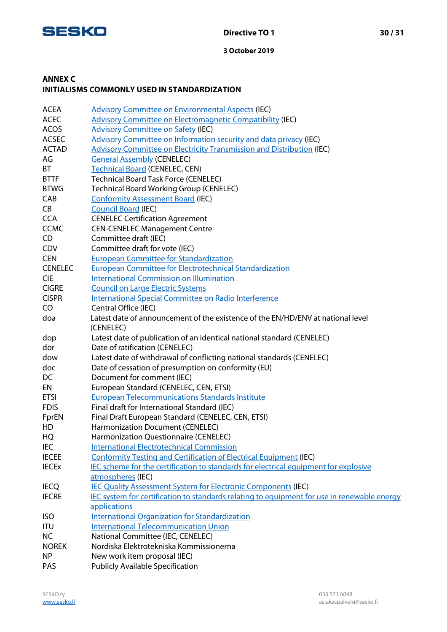

## **ANNEX C INITIALISMS COMMONLY USED IN STANDARDIZATION**

| <b>ACEA</b>    | <b>Advisory Committee on Environmental Aspects (IEC)</b>                                    |
|----------------|---------------------------------------------------------------------------------------------|
| <b>ACEC</b>    | <b>Advisory Committee on Electromagnetic Compatibility (IEC)</b>                            |
| <b>ACOS</b>    | <b>Advisory Committee on Safety (IEC)</b>                                                   |
| <b>ACSEC</b>   | Advisory Committee on Information security and data privacy (IEC)                           |
| <b>ACTAD</b>   | Advisory Committee on Electricity Transmission and Distribution (IEC)                       |
| AG             | <b>General Assembly (CENELEC)</b>                                                           |
| BT             | <b>Technical Board (CENELEC, CEN)</b>                                                       |
| <b>BTTF</b>    | <b>Technical Board Task Force (CENELEC)</b>                                                 |
| <b>BTWG</b>    | <b>Technical Board Working Group (CENELEC)</b>                                              |
| CAB            | <b>Conformity Assessment Board (IEC)</b>                                                    |
| CB             | <b>Council Board (IEC)</b>                                                                  |
| <b>CCA</b>     | <b>CENELEC Certification Agreement</b>                                                      |
| <b>CCMC</b>    | <b>CEN-CENELEC Management Centre</b>                                                        |
| CD             | Committee draft (IEC)                                                                       |
| <b>CDV</b>     | Committee draft for vote (IEC)                                                              |
| <b>CEN</b>     | <b>European Committee for Standardization</b>                                               |
| <b>CENELEC</b> | <b>European Committee for Electrotechnical Standardization</b>                              |
| <b>CIE</b>     | <b>International Commission on Illumination</b>                                             |
| <b>CIGRE</b>   | <b>Council on Large Electric Systems</b>                                                    |
| <b>CISPR</b>   | International Special Committee on Radio Interference                                       |
| CO             | Central Office (IEC)                                                                        |
| doa            | Latest date of announcement of the existence of the EN/HD/ENV at national level             |
|                | (CENELEC)                                                                                   |
| dop            | Latest date of publication of an identical national standard (CENELEC)                      |
| dor            | Date of ratification (CENELEC)                                                              |
| dow            | Latest date of withdrawal of conflicting national standards (CENELEC)                       |
| doc            | Date of cessation of presumption on conformity (EU)                                         |
| DC             | Document for comment (IEC)                                                                  |
| EN             | European Standard (CENELEC, CEN, ETSI)                                                      |
| <b>ETSI</b>    | <b>European Telecommunications Standards Institute</b>                                      |
| <b>FDIS</b>    | Final draft for International Standard (IEC)                                                |
| FprEN          | Final Draft European Standard (CENELEC, CEN, ETSI)                                          |
| HD             | Harmonization Document (CENELEC)                                                            |
| HQ             | Harmonization Questionnaire (CENELEC)                                                       |
| IEC            | <b>International Electrotechnical Commission</b>                                            |
| <b>IECEE</b>   | <b>Conformity Testing and Certification of Electrical Equipment (IEC)</b>                   |
| <b>IECEX</b>   | IEC scheme for the certification to standards for electrical equipment for explosive        |
|                | atmospheres (IEC)                                                                           |
| <b>IECQ</b>    | <b>IEC Quality Assessment System for Electronic Components (IEC)</b>                        |
| <b>IECRE</b>   | IEC system for certification to standards relating to equipment for use in renewable energy |
|                | applications                                                                                |
| <b>ISO</b>     | <b>International Organization for Standardization</b>                                       |
| <b>ITU</b>     | <b>International Telecommunication Union</b>                                                |
| <b>NC</b>      | National Committee (IEC, CENELEC)                                                           |
| <b>NOREK</b>   | Nordiska Elektrotekniska Kommissionerna                                                     |
| <b>NP</b>      | New work item proposal (IEC)                                                                |
| PAS            | <b>Publicly Available Specification</b>                                                     |